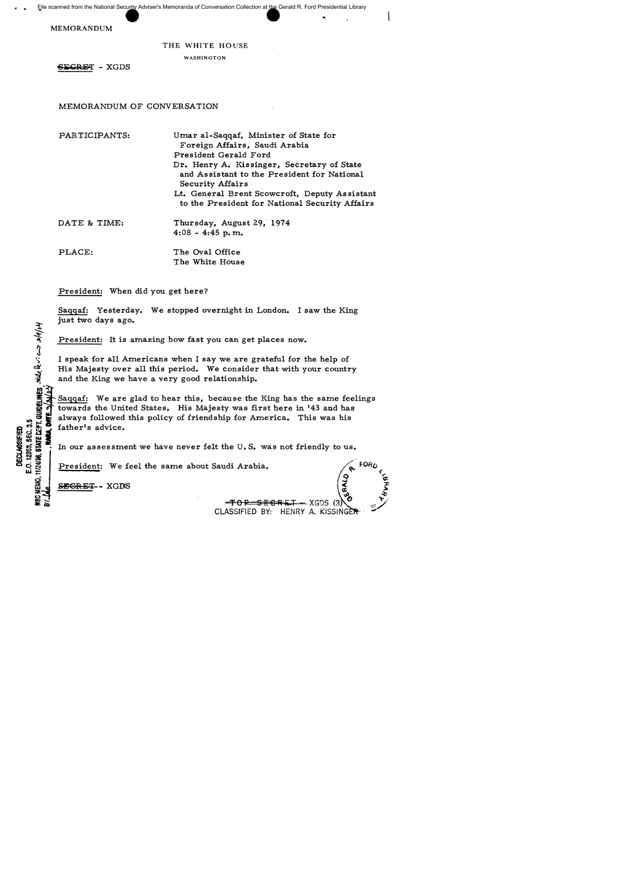MEMORANDUM

## THE WHITE HOUSE

WASHINGTON

**SECRET - XGDS** 

MEMORANDUM OF CONVERSATION

PAR TICIPANTS:

Umar a1-Saqqaf, Minister of State for Foreign Affairs, Saudi Arabia President Gerald Ford Dr. Henry A. Kissinger, Secretary of State and Assistant to the President for National Security Affairs Lt. General Brent Scowcroft, Deputy Assistant

- to the President for National Security Affairs
- DATE & TIME: Thursday, August 29, 1974  $4:08 - 4:45$  p.m.

PLACE: The Oval Office The White House

President: When did you get here?

Saqqaf: Yesterday. We stopped overnight in London. I saw the King just two days ago.

President: It is amazing how fast you can get places now.

I speak for all Americans when I say we are grateful for the help of His Majesty over all this period. We consider that with your country and the King we have a very good relationship.

Saqqaf: We are glad to hear this, because the King has the same feelings towards the United States. His Majesty was first here in '43 and has It is the United States. His Majesty was lift here in 45 and has<br>
m it always followed this policy of friendship for America. This was his<br>m ii is father's advice.

In our assessment we have never felt the U.S. was not friendly to us.

President: We feel the same about Saudi Arabia.

SEGRET - XGDS

 $h^q/e/\epsilon c$ 

~

DECLASSFIED<br>1. E.O. 12653, SEC. 3.5<br>NEMO. 11/2408, STATE CEFT

 $\mathbf{m} \equiv$ 

CLASSIFIED BY: HENRY A. KISSINGER

— XGDS (3)

<del>SECRI</del>I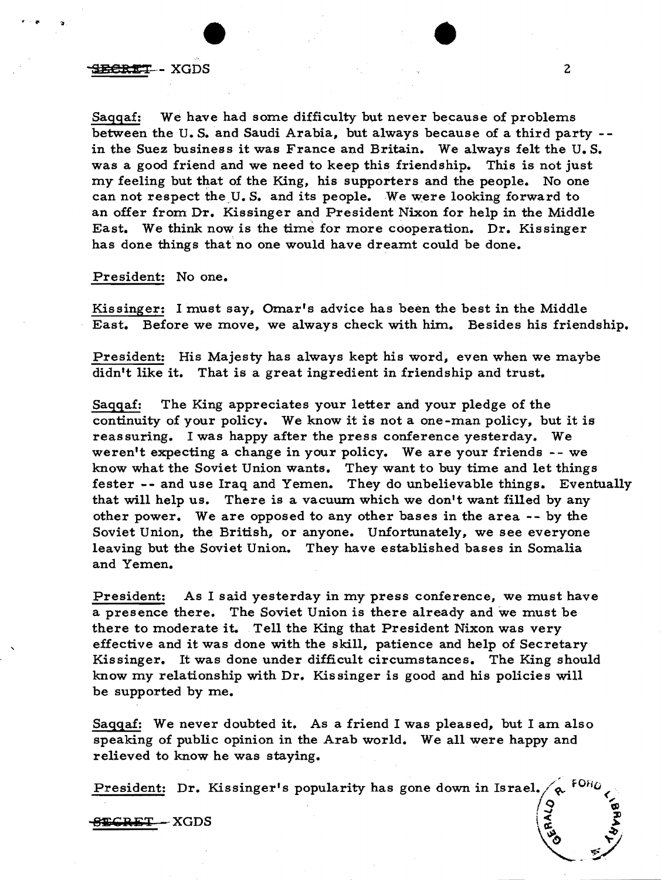## BEERT-XGDS

Saqqaf: We have had some difficulty but never because of problems between the U. S. and Saudi Arabia, but always because of a third party - in the Suez business it was France and Britain. We always felt the U. S. was a good friend and we need to keep this friendship. This is not just my feeling but that of the King, his supporters and the people. No one can not respect the U.S. and its people. We were looking forward to an offer from Dr. Kissinger and President Nixon for help in the Middle East. We think now is the time for more cooperation. Dr. Kissinger has done things that no one would have dreamt could be done.

## President: No one.

Kissinger: I must say, Omar's advice has been the best in the Middle East. Before we move, we always check with him. Besides his friendship.

President: His Majesty has always kept his word, even when we maybe didn't like it. That is a great ingredient in friendship and trust.

Saqqaf: The King appreciates your letter and your pledge of the continuity of your policy. We know it is not a one-man policy, but it is reassuring. I was happy after the press conference yesterday. We weren't expecting a change in your policy. We are your friends -- we know what the Soviet Union wants. They want to buy time and let things fester -- and use Iraq and Yemen. They do unbelievable things. Eventually that will help us. There is a vacuum which we don't want filled by any other power. We are opposed to any other bases in the area -- by the Soviet Union, the British, or anyone. Unfortunately, we see everyone leaving but the Soviet Union. They have established bases in Somalia and Yemen.

President: As I said yesterday in my press conference, we must have a presence there. The Soviet Union is there already and we must be there to moderate it. Tell the King that President Nixon was very effective and it was done with the skill, patience and help of Secretary Kissinger. It was done under difficult circumstances. The King should know my relationship with Dr. Kissinger is good and his policies will be supported by me.

Saqqaf: We never doubted it. As a friend I was pleased, but I am also speaking of public opinion in the Arab world. We all were happy and relieved to know he was staying.

President: Dr. Kissinger's popularity has gone down in Israel. , !~ , ,~ ::Il

 $E$ CRET - XGDS

GERALD STANDS

•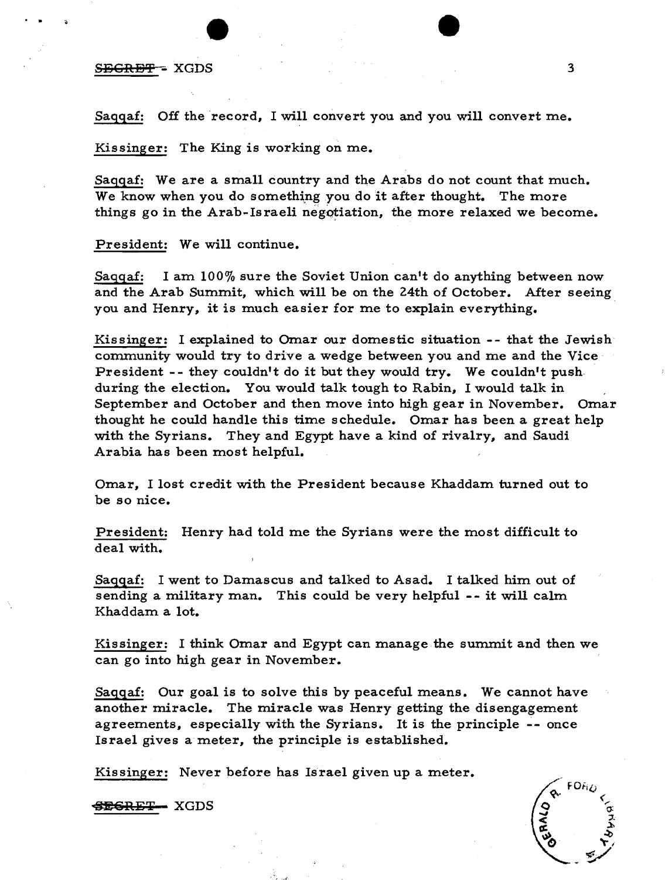# S<del>ECRET</del> - XGDS 3

'. ..

Saqqaf: Off the record, I will convert you and you will convert me.

Kissinger: The King is working on me.

Sagqaf: We are a small country and the Arabs do not count that much. We know when you do something you do it after thought. The more things go in the Arab-Israeli negotiation, the more relaxed we become.

President: We will continue.

Saqqaf: I am  $100\%$  sure the Soviet Union can't do anything between now and the Arab Summit, which will be on the 24th of October. After seeing vou and Henry, it is much easier for me to explain everything.

Kissinger: I explained to Omar our domestic situation -- that the Jewish community would try to drive a wedge between you and me and the Vice President -- they couldn't do it but they would try. We couldn't push. during the election. You would talk tough to Rabin, I would talk in September and October and then move into high gear in November. Omar thought he could handle this time schedule. Omar has been a great help with the Syrians. They and Egypt have a kind of rivalry, and Saudi Arabia has been most helpful.

Omar. I lost credit with the President because Khaddam turned out to be so nice.

President: Henry had told me the Syrians were the most difficult to deal with.

Saqqaf: I went to Damascus and talked to Asad. I talked him out of sending a military man. This could be very helpful -- it will calm Khaddam a lot.

Kissinger: I think Omar and Egypt can manage the summit and then we can go into high gear in November.

Saqqaf: Our goal is to solve this by peaceful means. We cannot have another miracle. The miracle was Henry getting the disengagement agreements, especially with the Syrians. It is the principle -- once Israel gives a meter, the principle is established.

Kissinger: Never before has Israel given up a meter.

SESRET XGDS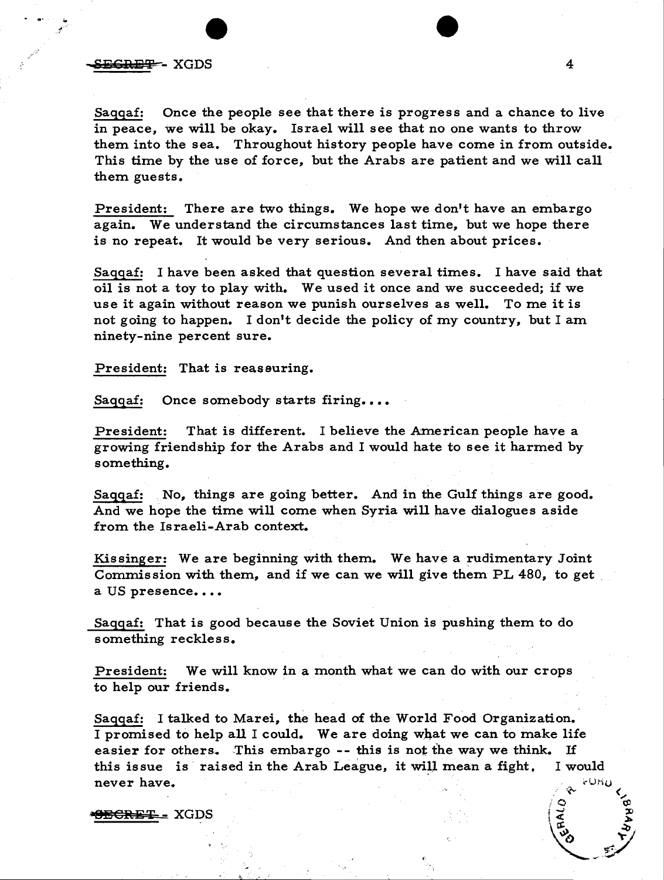Saquaf: Once the people see that there is progress and a chance to live in peace, we will be okay. Israel will see that no one wants to throw them into the sea. Throughout history people have come in from outside. This time by the use of force, but the Arabs are patient and we will call them guests.

President: There are two things. We hope we don't have an embargo again. We understand the circumstances last time, but we hope there is no repeat. It would be very serious. And then about prices.

Saqqaf: I have been asked that question several times. I have said that oil is not a toy to play with. We used it once and we succeeded; if we use it again without reason we punish ourselves as well. To me it is not going to happen. I don't decide the policy of my country, but I am ninety-nine percent sure.

President: That is reassuring.

Saqqaf: Once somebody starts firing....

President: That is different. I believe the American people have a growing friendship for the Arabs and I would hate to see it harmed by something.

Saqqaf: No, things are going better. And in the Gulf things are good. And we hope the time will come when Syria will have dialogues aside from the Is raeli-Arab context.

Kissinger: We are beginning with them. We have a rudimentary Joint Commission with them, and if we can we will give them PL 480, to get. a US presence....

Saqqaf: That is good because the Soviet Union is pushing them to do something reckless.

President: We will know in a month what we can do with our crops to help our friends.

Saqqaf: I talked to Marei, the head of the World Food Organization. I promised to help all I could. We are doing what we can to make life easier for others. This embargo -- this is not the way we think. If this issue is raised in the Arab League, it will mean a fight. I would never have.

<del>9ECRET -</del> XGDS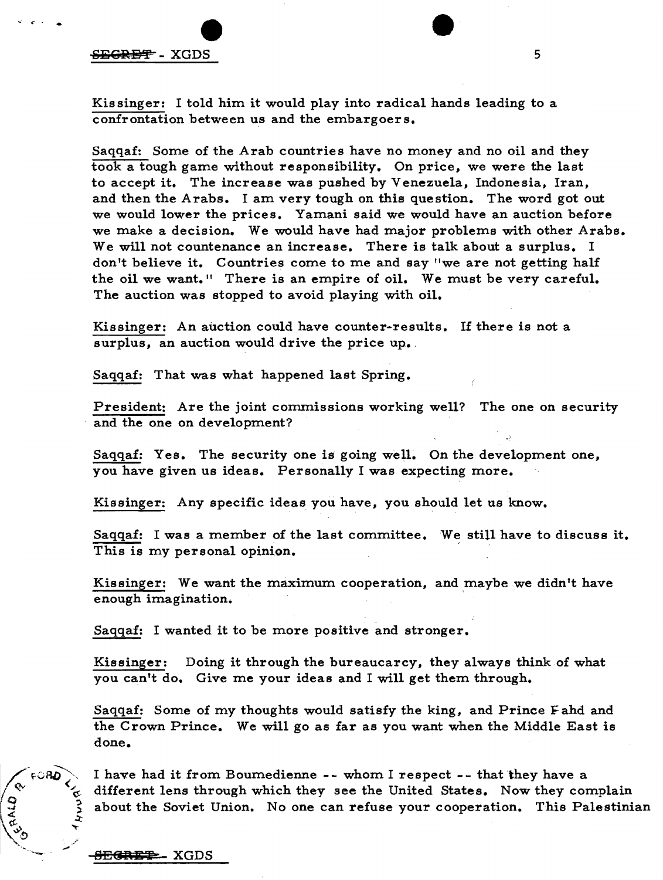#### $S$  is the second second second second second second second second second second second second second second second second second second second second second second second second second second second second second second

*... t c.* -.

Kissinger: I told him it would play into radical hands leading to a confrontation between us and the embargoers.

Saqqaf: Some of the Arab countries have no money and no oil and they took a tough game without responsibility. On price, we were the last to accept it. The increase was pushed by Venezuela, Indonesia, Iran, and then the Arabs. I am very tough on this question. The word got out we would lower the prices. Yamani said we would have an auction before we make a decision. We would have had major problems with other Arabs. We will not countenance an increase. There is talk about a surplus. I don't believe it. Countries corne to me and say "we are not getting half the oil we want." There is an empire of oil. We must be very careful. The auction was stopped to avoid playing with oil.

Kissinger: An auction could have counter-results. If there is not a surplus, an auction would drive the price up.

Saqqaf: That was what happened last Spring.

President: Are the joint commissions working well? The one on security and the one on development?

Saqqaf: Yes. The security one is going well. On the development one, you have given us ideas. Personally I was expecting more.

Kissinger: Any specific ideas you have, you should let us know.

Saqqaf: I was a member of the last committee. We still have to discuss it. This is my personal opinion.

Kissinger: We want the maximum cooperation, and maybe we didn't have enough imagination.

Saqqaf: I wanted it to be more positive and stronger.

Kissinger: Doing it through the bureaucarcy, they always think of what you can't do. Give me your ideas and I will get them through.

Saqqaf: Some of my thoughts would satisfy the king, and Prince Fahd and the Crown Prince. We will go as far as you want when the Middle East is done.

I have had it from Boumedienne -- whom I respect -- that they have a different lens through which they see the United States. Now they complain about the Soviet Union. No one can refuse your cooperation. This Palestinian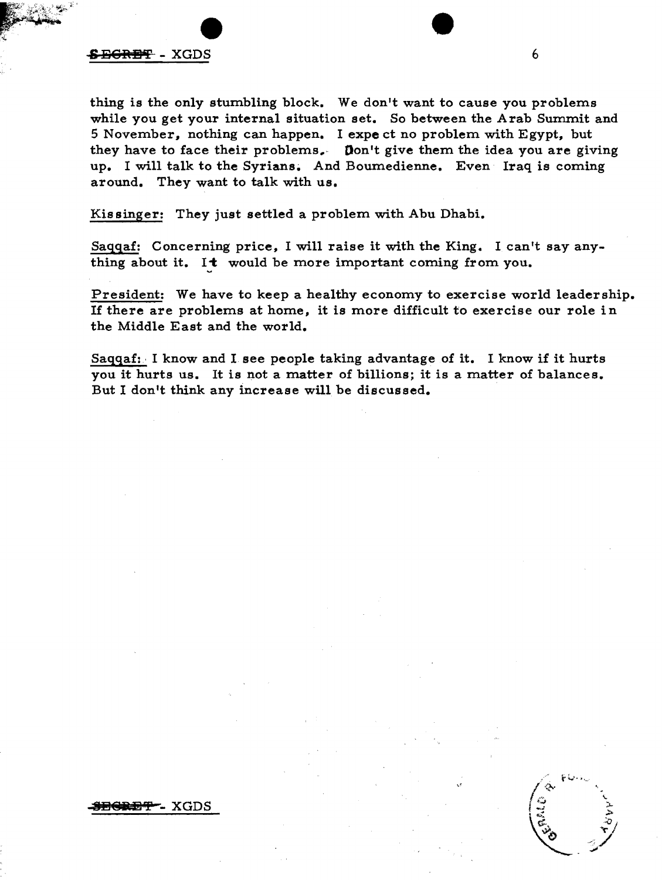## $\overline{EBR}$  - XGDS 6

thing is the only stumbling block. We don 't want to cause you problems while you get your internal situation set. So between the Arab Summit and 5 November, nothing can happen. I expe ct no problem with Egypt, but they have to face their problems.- Don't give them the idea you are giving up. I will talk to the Syrians. And Boumedienne. Even Iraq is coming around. They want to talk with us.

Kis singer: They just settled a problem with Abu Dhabi.

Saqqaf: Concerning price, I will raise it with the King. I can't say anything about it. It would be more important coming from you.

President: We have to keep a healthy economy to exercise world leadership. If there are problems at horne, it is more difficult to exercise our role in the Middle East and the world.

Saqqaf:, I know and I see people taking advantage of it. I know if it hurts you it hurts us. It is not a matter of billions; it is a matter of balances. But I don't think any increase will be discussed.

<del>egret</del> - XGDS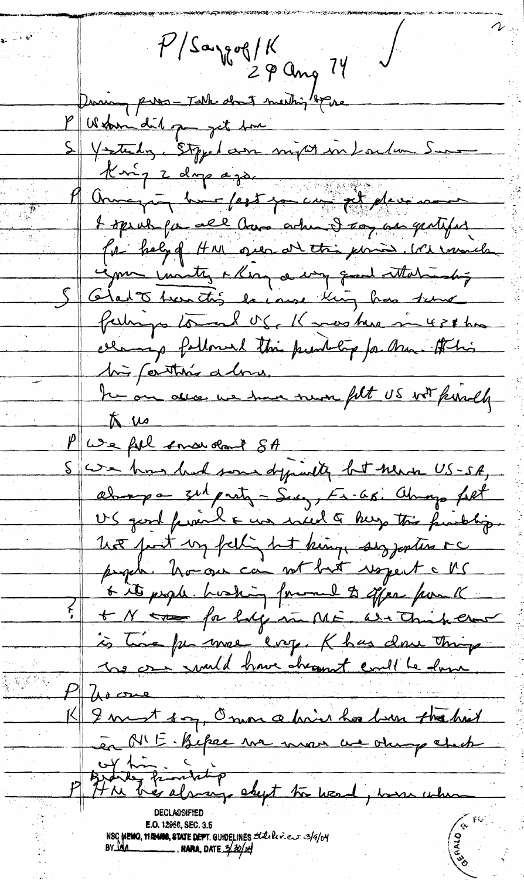$P/S$ aygog/K  $29$  ang  $74'$ During person Table dont meeting by ne P Wedern dit pay get tome S Vestely, Stipped am mijat in Laden Surs Knig 2 dup ago.<br>Aug 1 dup / agot pour fil placement I speak for all have ache I say as gentifer for hely of HM over at this point. We would igner invites a key a way quand attalandos S Glat than this because thing has true fairings toward of, Know have in 428 hrs cerang followed this public for Mu. At his his farither alone. he on alla we have never filt US wit kindly  $\pi$  us We fil smarchant SA S we has had some dypiedly but news US-SA, always a 3th party - Sucy, Fr. 68. always felt US good funeral & was inced & hugo this function. not just un felling hat king aus jantes re people. however can not but respect a MC 6 its people. Lushing formal to offer from K + N tro for large in ME. We think that is time for more crop. Khas done things In one muld have cheannt coull be done.  $A \circ \sigma$ I must soy, Onen a hair has been the hist en MIE. Bepae un mon un ohng check Brand fromting about to wood, we when NSC **WENO, 1172400, STATE DEPT.** GUIDELINES Stately.cur 3/9/04<br>BY DAA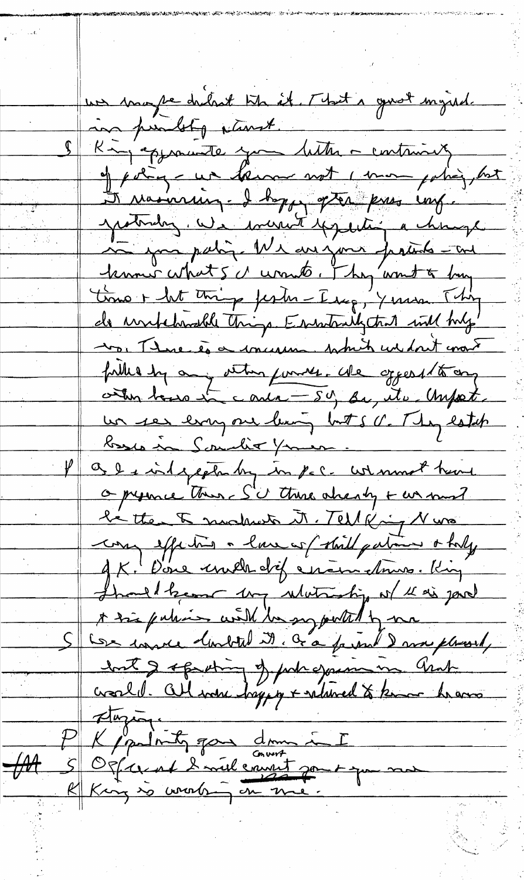un mape ditrit tit it. Mat a goudt myred. in punbly plant. S King approvede you letter - containing of poling - we throw not I man poling, but I rainring - I hoppy often kuss ung. yesterday. We weren't typething a change in your palin. We are just fractions - and <u>lemmer what 5 a unnit . They'want to buy</u> Lono + ht thing fester-Iseg, Yerson Thing <u>de untebrolle things Errestralistent will try'</u> 10. Thue és a incursion which wishout mont fille by any veters funnes. We opposite any un res erry one leaving but s V. They establ <u>basis in Sountier Yours.</u> I a la independing in por- with most have O pyrace these S'd there already + was must le tte 5 modunts M. Tell King Nuss can effective a law of shill pation a holy 9 K. D'one unels dif en en churche King Thank been my whiteship of the si jour A très pulieur with the suggested by me S Con course doubted it. Ga farmed and placed, wert & oppeting of probagain in and stuzione P K partity gave donne in I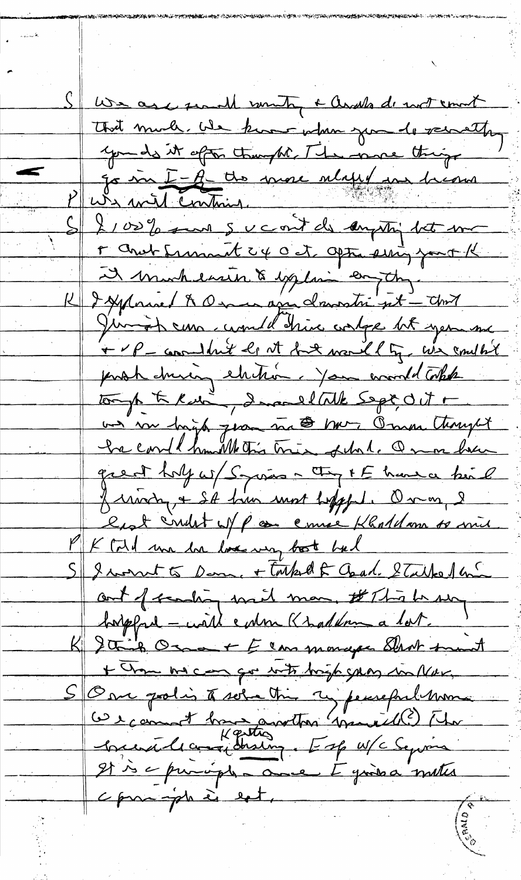Sure as a search someting + awakes de not count That much we know when you do vermetting you do it often thanght. The more things Je me I A de more mense dicours Paris mil continu. S 2100% sure sucont de anything bet me r and fremant cx oct apta sing fort K I mondenir & exploi en the I Applanced A Omma avec dansation est - Unit Jumish curs counter drive contre let year me + P = considered by at fort worded by we complet proh during electron you would Tokk tomp to Kur", ImmedITUE Sept, OUT + us in high geometra to have Omn thought he could huill this true of the Prime have great holy w/ Syrias - They I E have himl friving + SA him most hopped. On m, 2 lest indet of poor ennee Khaldonn so mil PK Cold une ha love way boot had S & worrent to Dam, + tarked & Charl. Stalked and out of scenting with man, # This be surge hopped - with colon Khaddom a lot. K & This Osa + E can monger Shot trant + Chan me can que with high gang in Next. S Over polis à sola this 2 peuveful mon It is a puright and I give a meter commande est.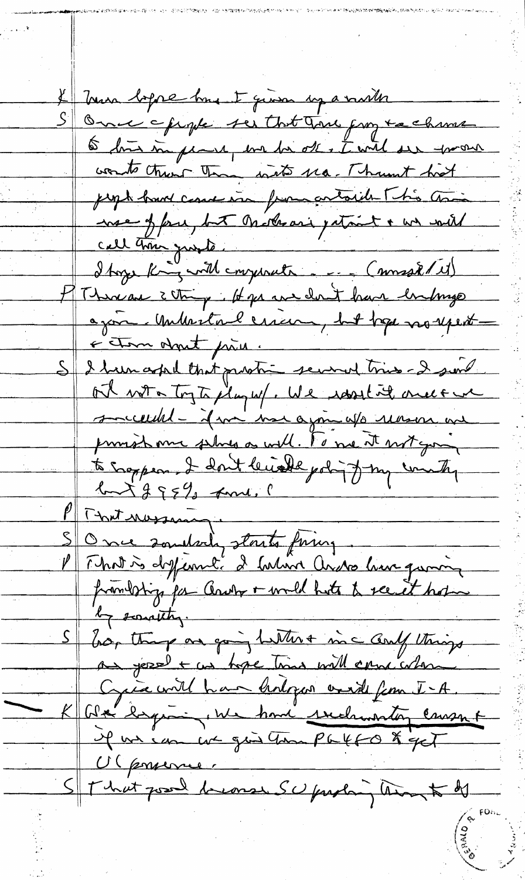If Trun before has I given up a north S Once chapte ser that True from tachime 6 bis in pearl we be off , I will see thrown words that the water 110. Thunt hat juga hans come via françaitaide This and noe of four, but Oraterari patriet & we will HThere are 3 things. It goes are don't have bushings ajon Mutulerien, bit tope norsent S I been askel that protie severed tries - I sent ot with togte play w/. We resort it once one succeeded- if we we again up reason are to sappear. I don't leurelle politiq tous country Pront nossantes et pring PT That norsany. frankstig for Court + would hote to see it hopes S bor thing on going butter + inc and things an yessel + un tope time will cancerdame Cycle with har hologer and from I-A. K G& bymin, we have seekwarting cause of il un eux qui compatto & get Vigonner St that good brease SU proban and to be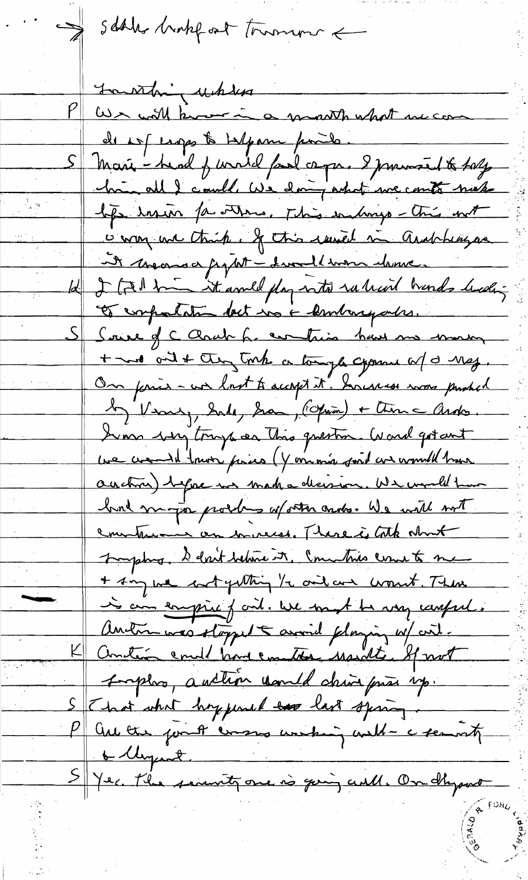sables brokef out tomorrow a Laurthing where We will know in a month what we can de est esgos to telpan points. Marie - head of wirded fand capa. I promoted to taly him all I could we doing what we could not life insin for others, This indings - This with is way und think. If this randel in analytingua int moons a fight - I would were chosen 12 2 (7) him it avel fly with ruleved hands leading Et compostation det mois dembarquetes. Saire of C Charles for contains have monday + me ont + they took a tomple crosses of a neg. On forces - wer lost to accept it. Surveyer was pushed Mary Sale, Sa, (Opin) + time ands Som sy try as this guestion. Ward got ant ue creand town pairs (Y omonio sont an would have auction) before we make allowion. We would have had more proches aforter cards. We will not construction on mires. There is tothe what Trosphy, I don't believe it, Commission to me + Am we satyathing to one are wount. Then is an empire fait. We must be very careful. Anton was stapped anoid playing w/ cit. Antin endt hone emitte usuitte sprot surplus, auction would drive prior up. That what hoppened to last sping. P au the fourth ensures weaking with a security 6 Ungent > Yer. the security one is going will. On dhy part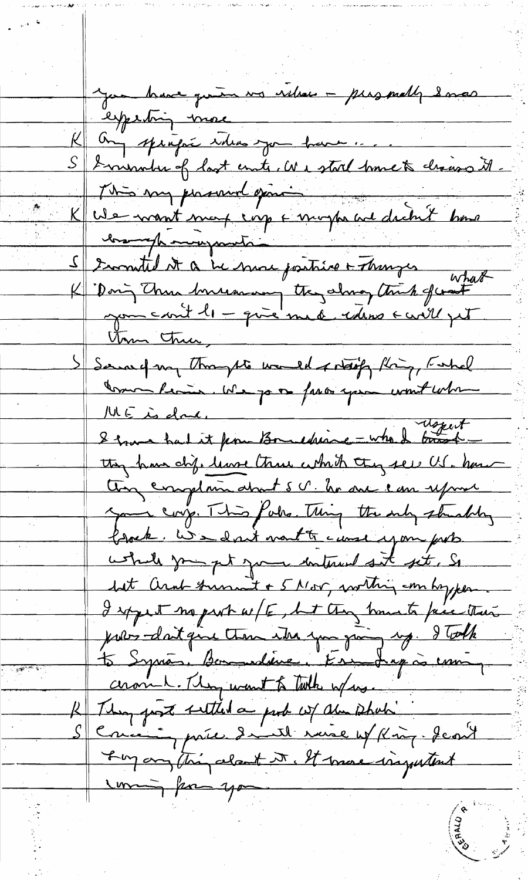you have quin vs villae - personally 2 mas experting more K any springer ideas you have .... S I minuter of last ente, We stool have to chaise it. This my provide gene K We want mort corp & morph and dichet home brough mongrants S somtil it a be more parties + Thanges what<br>K Doing Than boursamen they show think of what<br>you could be give med solve a could get S Served my thoughts would sitting thing, Fishel Comme Perie, We para pro spin wont when they have chip leave three which they see US. have they complain about S V. he are can upon your corp. This fake. Thing the only strachtry brock. We don't month canne you put while you get your interest set, So but arab transmit + 5 Mor, within emboyper I spyent no part w/E, but they have to pie their pour doit que tem ika que pai sup. I talk ceronnel. They want to take where. R They past settled a port w/ alm shots " Scrience price daniel ruie et King. Jeant I'm any thing about it. It more inquitent Imming form you

والمستوقفة